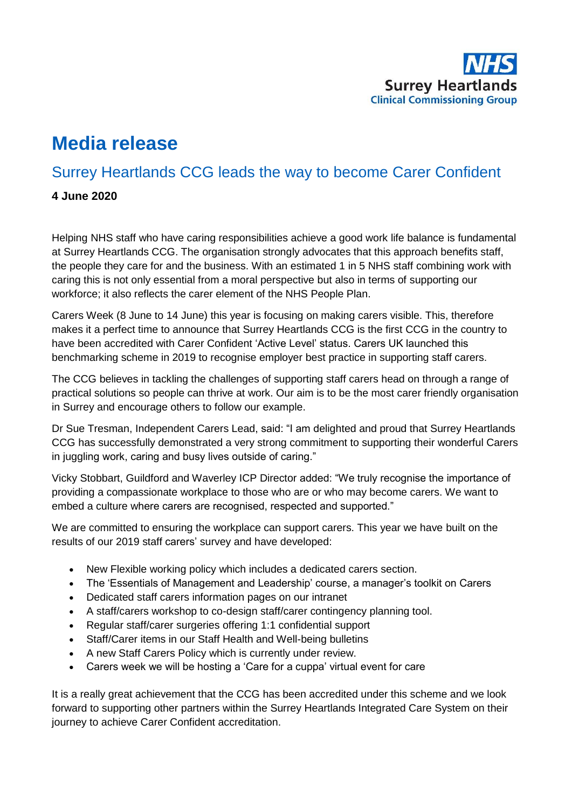

# **Media release**

## Surrey Heartlands CCG leads the way to become Carer Confident

#### **4 June 2020**

Helping NHS staff who have caring responsibilities achieve a good work life balance is fundamental at Surrey Heartlands CCG. The organisation strongly advocates that this approach benefits staff, the people they care for and the business. With an estimated 1 in 5 NHS staff combining work with caring this is not only essential from a moral perspective but also in terms of supporting our workforce; it also reflects the carer element of the NHS People Plan.

Carers Week (8 June to 14 June) this year is focusing on making carers visible. This, therefore makes it a perfect time to announce that Surrey Heartlands CCG is the first CCG in the country to have been accredited with Carer Confident 'Active Level' status. Carers UK launched this benchmarking scheme in 2019 to recognise employer best practice in supporting staff carers.

The CCG believes in tackling the challenges of supporting staff carers head on through a range of practical solutions so people can thrive at work. Our aim is to be the most carer friendly organisation in Surrey and encourage others to follow our example.

Dr Sue Tresman, Independent Carers Lead, said: "I am delighted and proud that Surrey Heartlands CCG has successfully demonstrated a very strong commitment to supporting their wonderful Carers in juggling work, caring and busy lives outside of caring."

Vicky Stobbart, Guildford and Waverley ICP Director added: "We truly recognise the importance of providing a compassionate workplace to those who are or who may become carers. We want to embed a culture where carers are recognised, respected and supported."

We are committed to ensuring the workplace can support carers. This year we have built on the results of our 2019 staff carers' survey and have developed:

- New Flexible working policy which includes a dedicated carers section.
- The 'Essentials of Management and Leadership' course, a manager's toolkit on Carers
- Dedicated staff carers information pages on our intranet
- A staff/carers workshop to co-design staff/carer contingency planning tool.
- Regular staff/carer surgeries offering 1:1 confidential support
- Staff/Carer items in our Staff Health and Well-being bulletins
- A new Staff Carers Policy which is currently under review.
- Carers week we will be hosting a 'Care for a cuppa' virtual event for care

It is a really great achievement that the CCG has been accredited under this scheme and we look forward to supporting other partners within the Surrey Heartlands Integrated Care System on their journey to achieve Carer Confident accreditation.